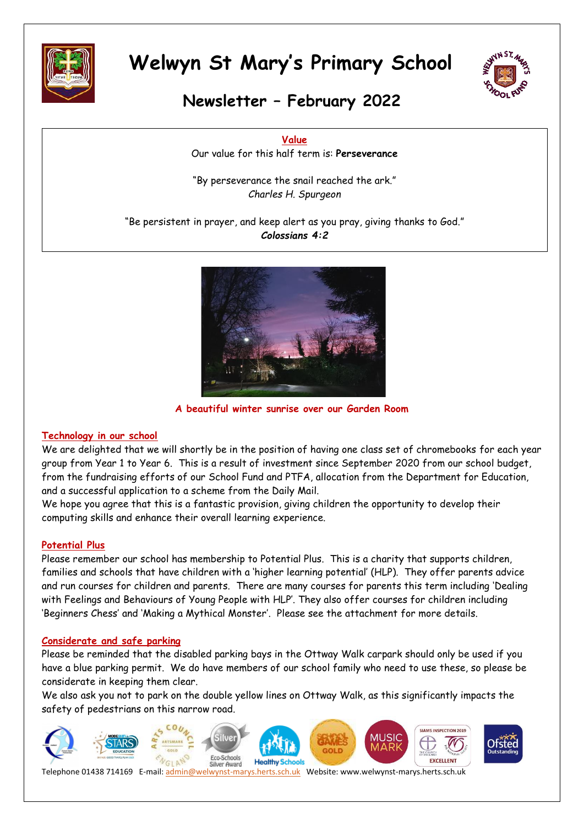



## **Newsletter – February 2022**

**Value** Our value for this half term is: **Perseverance**

"By perseverance the snail reached the ark." *Charles H. Spurgeon*

"Be persistent in prayer, and keep alert as you pray, giving thanks to God." *Colossians 4:2*



**A beautiful winter sunrise over our Garden Room**

#### **Technology in our school**

We are delighted that we will shortly be in the position of having one class set of chromebooks for each year group from Year 1 to Year 6. This is a result of investment since September 2020 from our school budget, from the fundraising efforts of our School Fund and PTFA, allocation from the Department for Education, and a successful application to a scheme from the Daily Mail.

We hope you agree that this is a fantastic provision, giving children the opportunity to develop their computing skills and enhance their overall learning experience.

#### **Potential Plus**

Please remember our school has membership to Potential Plus. This is a charity that supports children, families and schools that have children with a 'higher learning potential' (HLP). They offer parents advice and run courses for children and parents. There are many courses for parents this term including 'Dealing with Feelings and Behaviours of Young People with HLP'. They also offer courses for children including 'Beginners Chess' and 'Making a Mythical Monster'. Please see the attachment for more details.

#### **Considerate and safe parking**

Please be reminded that the disabled parking bays in the Ottway Walk carpark should only be used if you have a blue parking permit. We do have members of our school family who need to use these, so please be considerate in keeping them clear.

We also ask you not to park on the double yellow lines on Ottway Walk, as this significantly impacts the safety of pedestrians on this narrow road.

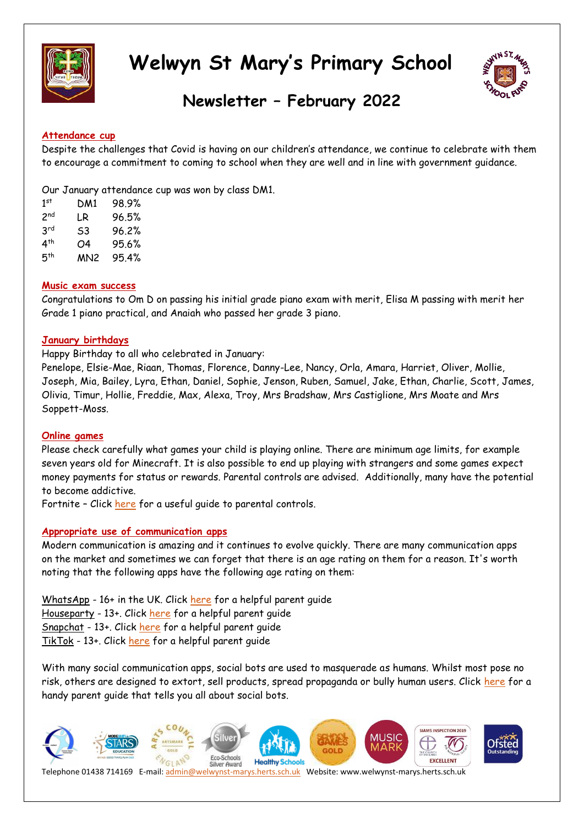



## **Newsletter – February 2022**

#### **Attendance cup**

Despite the challenges that Covid is having on our children's attendance, we continue to celebrate with them to encourage a commitment to coming to school when they are well and in line with government guidance.

Our January attendance cup was won by class DM1.

| 1 <sup>st</sup> | DM1 | 98.9% |
|-----------------|-----|-------|
| 2 <sup>nd</sup> | I.R | 96.5% |
| 3 <sup>rd</sup> | S3  | 96.2% |
| 4 <sup>th</sup> | Ο4  | 95.6% |
| 5 <sup>th</sup> | MN2 | 95.4% |

#### **Music exam success**

Congratulations to Om D on passing his initial grade piano exam with merit, Elisa M passing with merit her Grade 1 piano practical, and Anaiah who passed her grade 3 piano.

#### **January birthdays**

Happy Birthday to all who celebrated in January:

Penelope, Elsie-Mae, Riaan, Thomas, Florence, Danny-Lee, Nancy, Orla, Amara, Harriet, Oliver, Mollie, Joseph, Mia, Bailey, Lyra, Ethan, Daniel, Sophie, Jenson, Ruben, Samuel, Jake, Ethan, Charlie, Scott, James, Olivia, Timur, Hollie, Freddie, Max, Alexa, Troy, Mrs Bradshaw, Mrs Castiglione, Mrs Moate and Mrs Soppett-Moss.

#### **Online games**

Please check carefully what games your child is playing online. There are minimum age limits, for example seven years old for Minecraft. It is also possible to end up playing with strangers and some games expect money payments for status or rewards. Parental controls are advised. Additionally, many have the potential to become addictive.

Fortnite – Click [here](https://welwynst-marys.herts.sch.uk/wp-content/uploads/2022/01/parental-control-fortnite-chapter-2-battle-royale-parental-controls-guide.pdf) for a useful guide to parental controls.

#### **Appropriate use of communication apps**

Modern communication is amazing and it continues to evolve quickly. There are many communication apps on the market and sometimes we can forget that there is an age rating on them for a reason. It's worth noting that the following apps have the following age rating on them:

WhatsApp - 16+ in the UK. Click [here](https://welwynst-marys.herts.sch.uk/wp-content/uploads/2022/01/all-you-need-to-know-about-whatsapp.pdf) for a helpful parent guide Houseparty - 13+. Click [here](https://welwynst-marys.herts.sch.uk/wp-content/uploads/2022/01/all-you-need-to-know-about-houseparty.pdf) for a helpful parent quide Snapchat - 13+. Click [here](https://welwynst-marys.herts.sch.uk/wp-content/uploads/2022/01/all-you-need-to-know-about-snapchat.pdf) for a helpful parent guide TikTok - 13+. Click [here](https://welwynst-marys.herts.sch.uk/wp-content/uploads/2022/01/all-you-need-to-know-about-tiktok.pdf) for a helpful parent guide

With many social communication apps, social bots are used to masquerade as humans. Whilst most pose no risk, others are designed to extort, sell products, spread propaganda or bully human users. Click [here](https://welwynst-marys.herts.sch.uk/wp-content/uploads/2022/01/all-you-need-to-know-about-social-bots.pdf) for a handy parent guide that tells you all about social bots.

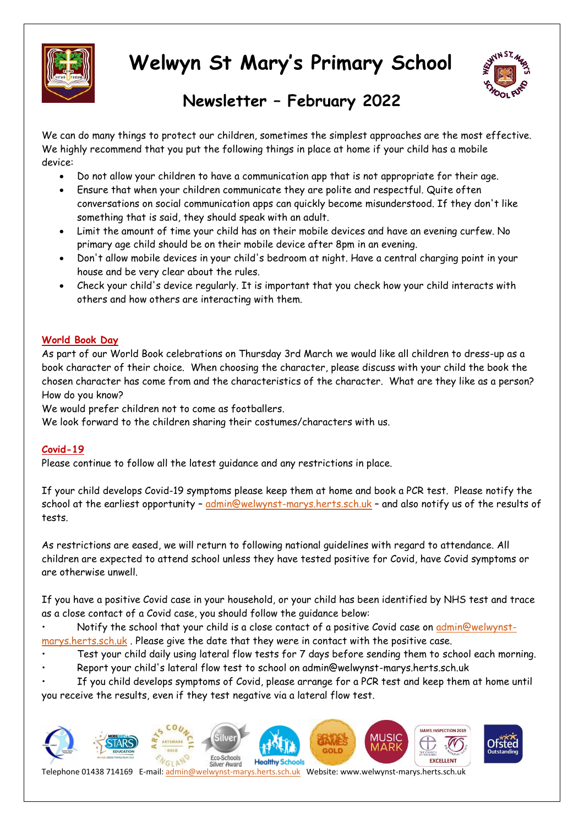



## **Newsletter – February 2022**

We can do many things to protect our children, sometimes the simplest approaches are the most effective. We highly recommend that you put the following things in place at home if your child has a mobile device:

- Do not allow your children to have a communication app that is not appropriate for their age.
- Ensure that when your children communicate they are polite and respectful. Quite often conversations on social communication apps can quickly become misunderstood. If they don't like something that is said, they should speak with an adult.
- Limit the amount of time your child has on their mobile devices and have an evening curfew. No primary age child should be on their mobile device after 8pm in an evening.
- Don't allow mobile devices in your child's bedroom at night. Have a central charging point in your house and be very clear about the rules.
- Check your child's device regularly. It is important that you check how your child interacts with others and how others are interacting with them.

#### **World Book Day**

As part of our World Book celebrations on Thursday 3rd March we would like all children to dress-up as a book character of their choice. When choosing the character, please discuss with your child the book the chosen character has come from and the characteristics of the character. What are they like as a person? How do you know?

We would prefer children not to come as footballers.

We look forward to the children sharing their costumes/characters with us.

#### **Covid-19**

Please continue to follow all the latest guidance and any restrictions in place.

If your child develops Covid-19 symptoms please keep them at home and book a PCR test. Please notify the school at the earliest opportunity - [admin@welwynst-marys.herts.sch.uk](mailto:admin@welwynst-marys.herts.sch.uk) - and also notify us of the results of tests.

As restrictions are eased, we will return to following national guidelines with regard to attendance. All children are expected to attend school unless they have tested positive for Covid, have Covid symptoms or are otherwise unwell.

If you have a positive Covid case in your household, or your child has been identified by NHS test and trace as a close contact of a Covid case, you should follow the guidance below:

• Notify the school that your child is a close contact of a positive Covid case on [admin@welwynst](mailto:admin@welwynst-marys.herts.sch.uk)[marys.herts.sch.uk](mailto:admin@welwynst-marys.herts.sch.uk) . Please give the date that they were in contact with the positive case.

- Test your child daily using lateral flow tests for 7 days before sending them to school each morning.
- Report your child's lateral flow test to school on admin@welwynst-marys.herts.sch.uk

• If you child develops symptoms of Covid, please arrange for a PCR test and keep them at home until you receive the results, even if they test negative via a lateral flow test.

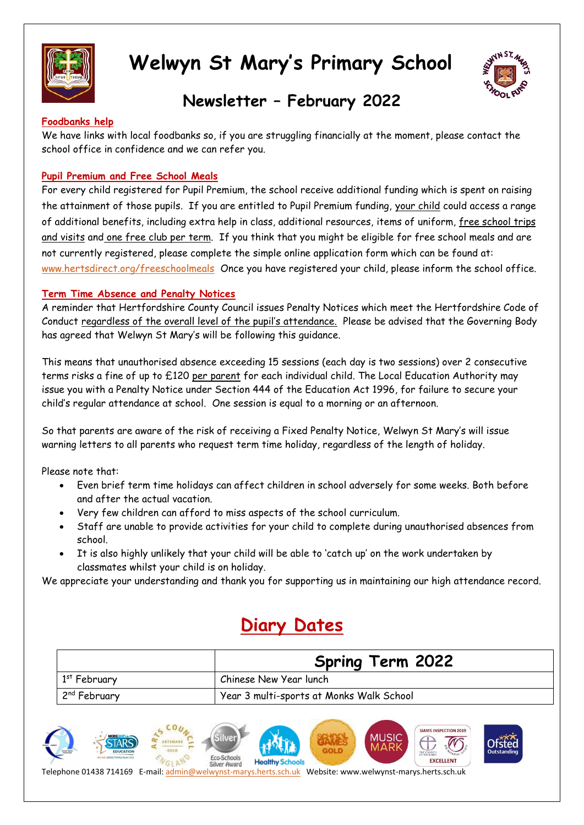



## **Newsletter – February 2022**

#### **Foodbanks help**

We have links with local foodbanks so, if you are struggling financially at the moment, please contact the school office in confidence and we can refer you.

#### **Pupil Premium and Free School Meals**

For every child registered for Pupil Premium, the school receive additional funding which is spent on raising the attainment of those pupils. If you are entitled to Pupil Premium funding, your child could access a range of additional benefits, including extra help in class, additional resources, items of uniform, free school trips and visits and one free club per term. If you think that you might be eligible for free school meals and are not currently registered, please complete the simple online application form which can be found at: [www.hertsdirect.org/freeschoolmeals](http://www.hertsdirect.org/freeschoolmeals) Once you have registered your child, please inform the school office.

#### **Term Time Absence and Penalty Notices**

A reminder that Hertfordshire County Council issues Penalty Notices which meet the Hertfordshire Code of Conduct regardless of the overall level of the pupil's attendance. Please be advised that the Governing Body has agreed that Welwyn St Mary's will be following this guidance.

This means that unauthorised absence exceeding 15 sessions (each day is two sessions) over 2 consecutive terms risks a fine of up to £120 per parent for each individual child. The Local Education Authority may issue you with a Penalty Notice under Section 444 of the Education Act 1996, for failure to secure your child's regular attendance at school. One session is equal to a morning or an afternoon.

So that parents are aware of the risk of receiving a Fixed Penalty Notice, Welwyn St Mary's will issue warning letters to all parents who request term time holiday, regardless of the length of holiday.

Please note that:

- Even brief term time holidays can affect children in school adversely for some weeks. Both before and after the actual vacation.
- Very few children can afford to miss aspects of the school curriculum.
- Staff are unable to provide activities for your child to complete during unauthorised absences from school.
- It is also highly unlikely that your child will be able to 'catch up' on the work undertaken by classmates whilst your child is on holiday.

We appreciate your understanding and thank you for supporting us in maintaining our high attendance record.

## **Diary Dates**

|                          | <b>Spring Term 2022</b>                  |  |
|--------------------------|------------------------------------------|--|
| $1st$ February           | Chinese New Year lunch                   |  |
| 2 <sup>nd</sup> February | Year 3 multi-sports at Monks Walk School |  |

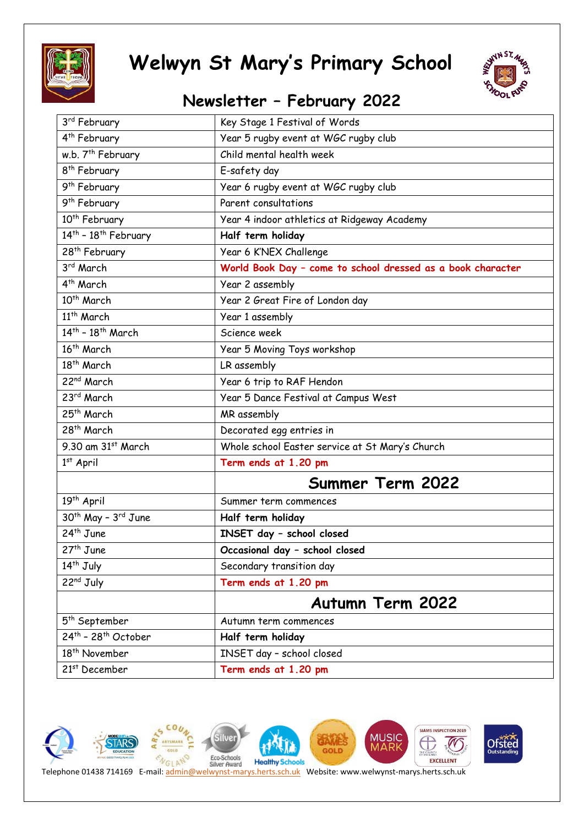



## **Newsletter – February 2022**

| 3 <sup>rd</sup> February                    | Key Stage 1 Festival of Words                               |  |
|---------------------------------------------|-------------------------------------------------------------|--|
| 4 <sup>th</sup> February                    | Year 5 rugby event at WGC rugby club                        |  |
| w.b. 7 <sup>th</sup> February               | Child mental health week                                    |  |
| 8 <sup>th</sup> February                    | E-safety day                                                |  |
| 9 <sup>th</sup> February                    | Year 6 rugby event at WGC rugby club                        |  |
| 9 <sup>th</sup> February                    | Parent consultations                                        |  |
| 10 <sup>th</sup> February                   | Year 4 indoor athletics at Ridgeway Academy                 |  |
| $14th$ - $18th$ February                    | Half term holiday                                           |  |
| 28 <sup>th</sup> February                   | Year 6 K'NEX Challenge                                      |  |
| 3rd March                                   | World Book Day - come to school dressed as a book character |  |
| 4 <sup>th</sup> March                       | Year 2 assembly                                             |  |
| 10 <sup>th</sup> March                      | Year 2 Great Fire of London day                             |  |
| 11 <sup>th</sup> March                      | Year 1 assembly                                             |  |
| $14th$ - $18th$ March                       | Science week                                                |  |
| 16 <sup>th</sup> March                      | Year 5 Moving Toys workshop                                 |  |
| 18 <sup>th</sup> March                      | LR assembly                                                 |  |
| 22 <sup>nd</sup> March                      | Year 6 trip to RAF Hendon                                   |  |
| 23rd March                                  | Year 5 Dance Festival at Campus West                        |  |
| 25 <sup>th</sup> March                      | MR assembly                                                 |  |
| 28 <sup>th</sup> March                      | Decorated egg entries in                                    |  |
| 9.30 am 31st March                          | Whole school Easter service at St Mary's Church             |  |
| $1st$ April                                 | Term ends at 1.20 pm                                        |  |
|                                             | Summer Term 2022                                            |  |
| 19 <sup>th</sup> April                      | Summer term commences                                       |  |
| 30 <sup>th</sup> May - 3 <sup>rd</sup> June | Half term holiday                                           |  |
| 24 <sup>th</sup> June                       | INSET day - school closed                                   |  |
| $27th$ June                                 | Occasional day - school closed                              |  |
| 14 <sup>th</sup> July                       | Secondary transition day                                    |  |
| 22 <sup>nd</sup> July                       | Term ends at 1.20 pm                                        |  |
|                                             | <b>Autumn Term 2022</b>                                     |  |
| 5 <sup>th</sup> September                   | Autumn term commences                                       |  |
| 24th - 28th October                         | Half term holiday                                           |  |
| 18 <sup>th</sup> November                   | INSET day - school closed                                   |  |
| 21 <sup>st</sup> December                   | Term ends at 1.20 pm                                        |  |